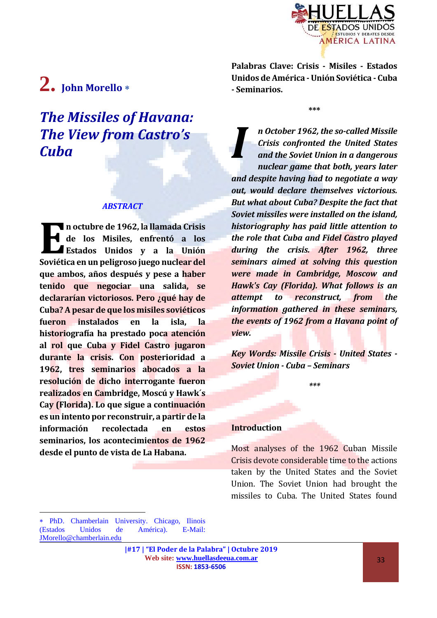

# **2. John Morello**

## *The Missiles of Havana: The View from Castro's Cuba*

#### *ABSTRACT*

**n octubre de 1962, la llamada Crisis de los Misiles, enfrentó a los Estados Unidos y a la Unión Soviética en un peligroso juego nuclear de la peligroso juego nuclear del <b>Soviética en un peligroso juego nuclear del que ambos, años después y pese a haber tenido que negociar una salida, se declararían victoriosos. Pero ¿qué hay de Cuba? A pesar de que los misiles soviéticos fueron instalados en la isla, la historiografía ha prestado poca atención al rol que Cuba y Fidel Castro jugaron durante la crisis. Con posterioridad a 1962, tres seminarios abocados a la resolución de dicho interrogante fueron realizados en Cambridge, Moscú y Hawk´s Cay (Florida). Lo que sigue a continuación es un intento por reconstruir, a partir de la información recolectada en estos seminarios, los acontecimientos de 1962 desde el punto de vista de La Habana.**

**Palabras Clave: Crisis - Misiles - Estados Unidos de América -Unión Soviética - Cuba - Seminarios.**

**\*\*\***

*n October 1962, the so-called Missile Crisis confronted the United States and the Soviet Union in a dangerous nuclear game that both, years later and despite having had to negotiate a way out, would declare themselves victorious. But what about Cuba? Despite the fact that Soviet missiles were installed on the island, historiography has paid little attention to the role that Cuba and Fidel Castro played during the crisis. After 1962, three seminars aimed at solving this question were made in Cambridge, Moscow and Hawk's Cay (Florida). What follows is an attempt to reconstruct, from the information gathered in these seminars, the events of 1962 from a Havana point of view. I*

*Key Words: Missile Crisis - United States - Soviet Union - Cuba – Seminars*

*\*\*\**

#### **Introduction**

Most analyses of the 1962 Cuban Missile Crisis devote considerable time to the actions taken by the United States and the Soviet Union. The Soviet Union had brought the missiles to Cuba. The United States found

 $\overline{a}$ 

PhD. Chamberlain University. Chicago, Ilinois (Estados Unidos de América). E-Mail: [JMorello@chamberlain.edu](mailto:JMorello@chamberlain.edu)

**<sup>|#17 | &</sup>quot;El Poder de la Palabra" | Octubre 2019 Web site: [www.huellasdeeua.com.ar](http://www.huellasdeeua.com.ar/) ISSN: 1853-6506**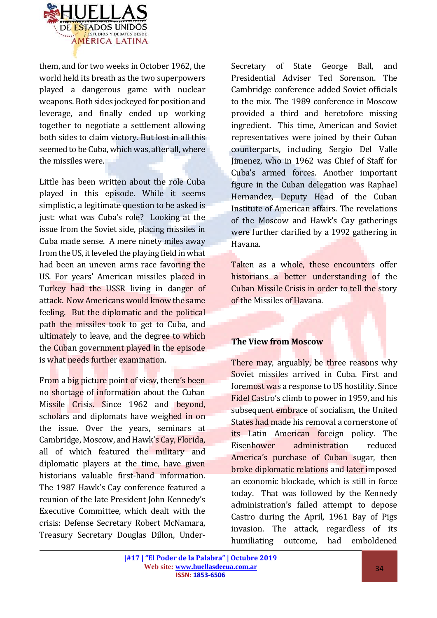

them, and for two weeks in October 1962, the world held its breath as the two superpowers played a dangerous game with nuclear weapons. Both sides jockeyed for position and leverage, and finally ended up working together to negotiate a settlement allowing both sides to claim victory. But lost in all this seemed to be Cuba, which was, after all, where the missiles were.

Little has been written about the role Cuba played in this episode. While it seems simplistic, a legitimate question to be asked is just: what was Cuba's role? Looking at the issue from the Soviet side, placing missiles in Cuba made sense. A mere ninety miles away from the US, it leveled the playing field in what had been an uneven arms race favoring the US. For years' American missiles placed in Turkey had the USSR living in danger of attack. Now Americans would know the same feeling. But the diplomatic and the political path the missiles took to get to Cuba, and ultimately to leave, and the degree to which the Cuban government played in the episode is what needs further examination.

From a big picture point of view, there's been no shortage of information about the Cuban Missile Crisis. Since 1962 and beyond, scholars and diplomats have weighed in on the issue. Over the years, seminars at Cambridge, Moscow, and Hawk's Cay, Florida, all of which featured the military and diplomatic players at the time, have given historians valuable first-hand information. The 1987 Hawk's Cay conference featured a reunion of the late President John Kennedy's Executive Committee, which dealt with the crisis: Defense Secretary Robert McNamara, Treasury Secretary Douglas Dillon, Under-

Secretary of State George Ball, and Presidential Adviser Ted Sorenson. The Cambridge conference added Soviet officials to the mix. The 1989 conference in Moscow provided a third and heretofore missing ingredient. This time, American and Soviet representatives were joined by their Cuban counterparts, including Sergio Del Valle Jimenez, who in 1962 was Chief of Staff for Cuba's armed forces. Another important figure in the Cuban delegation was Raphael Hernandez, Deputy Head of the Cuban Institute of American affairs. The revelations of the Moscow and Hawk's Cay gatherings were further clarified by a 1992 gathering in Havana.

Taken as a whole, these encounters offer historians a better understanding of the Cuban Missile Crisis in order to tell the story of the Missiles of Havana.

#### **The View from Moscow**

There may, arguably, be three reasons why Soviet missiles arrived in Cuba. First and foremost was a response to US hostility. Since Fidel Castro's climb to power in 1959, and his subsequent embrace of socialism, the United States had made his removal a cornerstone of its Latin American foreign policy. The Eisenhower administration reduced America's purchase of Cuban sugar, then broke diplomatic relations and later imposed an economic blockade, which is still in force today. That was followed by the Kennedy administration's failed attempt to depose Castro during the April, 1961 Bay of Pigs invasion. The attack, regardless of its humiliating outcome, had emboldened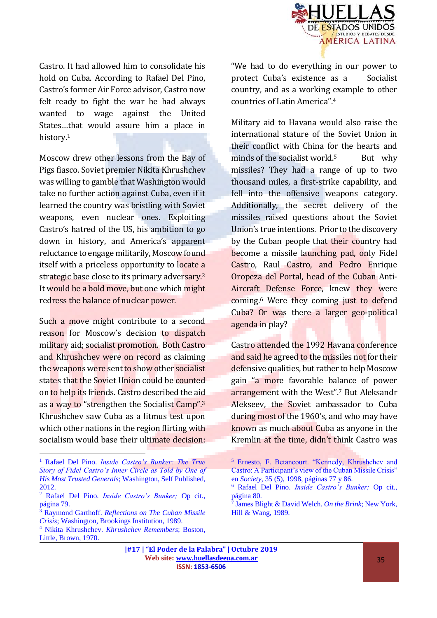

Castro. It had allowed him to consolidate his hold on Cuba. According to Rafael Del Pino, Castro's former Air Force advisor, Castro now felt ready to fight the war he had always wanted to wage against the United States…that would assure him a place in history.<sup>1</sup>

Moscow drew other lessons from the Bay of Pigs fiasco. Soviet premier Nikita Khrushchev was willing to gamble that Washington would take no further action against Cuba, even if it learned the country was bristling with Soviet weapons, even nuclear ones. Exploiting Castro's hatred of the US, his ambition to go down in history, and America's apparent reluctance to engage militarily, Moscow found itself with a priceless opportunity to locate a strategic base close to its primary adversary.<sup>2</sup> It would be a bold move, but one which might redress the balance of nuclear power.

Such a move might contribute to a second reason for Moscow's decision to dispatch military aid; socialist promotion. Both Castro and Khrushchev were on record as claiming the weapons were sent to show other socialist states that the Soviet Union could be counted on to help its friends. Castro described the aid as a way to "strengthen the Socialist Camp".<sup>3</sup> Khrushchev saw Cuba as a litmus test upon which other nations in the region flirting with socialism would base their ultimate decision:

 $\overline{a}$ 

"We had to do everything in our power to protect Cuba's existence as a Socialist country, and as a working example to other countries of Latin America".<sup>4</sup>

Military aid to Havana would also raise the international stature of the Soviet Union in their conflict with China for the hearts and minds of the socialist world.<sup>5</sup> But why missiles? They had a range of up to two thousand miles, a first-strike capability, and fell into the offensive weapons category. Additionally, the secret delivery of the missiles raised questions about the Soviet Union's true intentions. Prior to the discovery by the Cuban people that their country had become a missile launching pad, only Fidel Castro, Raul Castro, and Pedro Enrique Oropeza del Portal, head of the Cuban Anti-Aircraft Defense Force, knew they were coming.<sup>6</sup> Were they coming just to defend Cuba? Or was there a larger geo-political agenda in play?

Castro attended the 1992 Havana conference and said he agreed to the missiles not for their defensive qualities, but rather to help Moscow gain "a more favorable balance of power arrangement with the West".<sup>7</sup> But Aleksandr Alekseev, the Soviet ambassador to Cuba during most of the 1960's, and who may have known as much about Cuba as anyone in the Kremlin at the time, didn't think Castro was

<sup>1</sup> Rafael Del Pino. *Inside Castro's Bunker: The True Story of Fidel Castro's Inner Circle as Told by One of His Most Trusted Generals*; Washington, Self Published, 2012.

<sup>2</sup> Rafael Del Pino. *Inside Castro's Bunker;* Op cit., página 79.

<sup>3</sup> Raymond Garthoff. *Reflections on The Cuban Missile Crisis*; Washington, Brookings Institution, 1989.

<sup>4</sup> Nikita Khrushchev. *Khrushchev Remembers*; Boston, Little, Brown, 1970.

<sup>5</sup> Ernesto, F. Betancourt. "Kennedy, Khrushchev and Castro: A Participant's view of the Cuban Missile Crisis" en *Society*, 35 (5), 1998, páginas 77 y 86.

<sup>6</sup> Rafael Del Pino. *Inside Castro's Bunker;* Op cit., página 80.

<sup>7</sup> James Blight & David Welch. *On the Brink*; New York, Hill & Wang, 1989.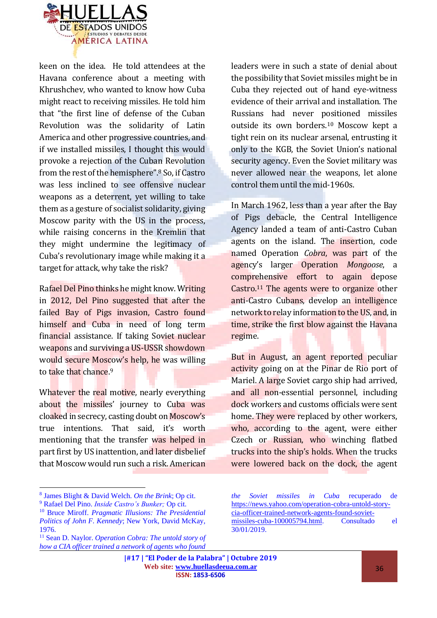

keen on the idea. He told attendees at the Havana conference about a meeting with Khrushchev, who wanted to know how Cuba might react to receiving missiles. He told him that "the first line of defense of the Cuban Revolution was the solidarity of Latin America and other progressive countries, and if we installed missiles, I thought this would provoke a rejection of the Cuban Revolution from the rest of the hemisphere".<sup>8</sup> So, if Castro was less inclined to see offensive nuclear weapons as a deterrent, yet willing to take them as a gesture of socialist solidarity, giving Moscow parity with the US in the process, while raising concerns in the Kremlin that they might undermine the legitimacy of Cuba's revolutionary image while making it a target for attack, why take the risk?

Rafael Del Pino thinks he might know. Writing in 2012, Del Pino suggested that after the failed Bay of Pigs invasion, Castro found himself and Cuba in need of long term financial assistance. If taking Soviet nuclear weapons and surviving a US-USSR showdown would secure Moscow's help, he was willing to take that chance.<sup>9</sup>

Whatever the real motive, nearly everything about the missiles' journey to Cuba was cloaked in secrecy, casting doubt on Moscow's true intentions. That said, it's worth mentioning that the transfer was helped in part first by US inattention, and later disbelief that Moscow would run such a risk. American

8 James Blight & David Welch. *On the Brink*; Op cit.

 $\overline{a}$ 

leaders were in such a state of denial about the possibility that Soviet missiles might be in Cuba they rejected out of hand eye-witness evidence of their arrival and installation. The Russians had never positioned missiles outside its own borders.<sup>10</sup> Moscow kept a tight rein on its nuclear arsenal, entrusting it only to the KGB, the Soviet Union's national security agency. Even the Soviet military was never allowed near the weapons, let alone control them until the mid-1960s.

In March 1962, less than a year after the Bay of Pigs debacle, the Central Intelligence Agency landed a team of anti-Castro Cuban agents on the island. The insertion, code named Operation *Cobra*, was part of the agency's larger Operation *Mongoose*, a comprehensive effort to again depose Castro.<sup>11</sup> The agents were to organize other anti-Castro Cubans, develop an intelligence network to relay information to the US, and, in time, strike the first blow against the Havana regime.

But in August, an agent reported peculiar activity going on at the Pinar de Rio port of Mariel. A large Soviet cargo ship had arrived, and all non-essential personnel, including dock workers and customs officials were sent home. They were replaced by other workers, who, according to the agent, were either Czech or Russian, who winching flatbed trucks into the ship's holds. When the trucks were lowered back on the dock, the agent

<sup>9</sup> Rafael Del Pino. *Inside Castro's Bunker;* Op cit.

<sup>10</sup> Bruce Miroff. *Pragmatic Illusions: The Presidential Politics of John F. Kennedy*; New York, David McKay, 1976.

<sup>11</sup> Sean D. Naylor. *Operation Cobra: The untold story of how a CIA officer trained a network of agents who found* 

*the Soviet missiles in Cuba* recuperado de [https://news.yahoo.com/operation-cobra-untold-story](https://news.yahoo.com/operation-cobra-untold-story-cia-officer-trained-network-agents-found-soviet-missiles-cuba-100005794.html)[cia-officer-trained-network-agents-found-soviet](https://news.yahoo.com/operation-cobra-untold-story-cia-officer-trained-network-agents-found-soviet-missiles-cuba-100005794.html)[missiles-cuba-100005794.html.](https://news.yahoo.com/operation-cobra-untold-story-cia-officer-trained-network-agents-found-soviet-missiles-cuba-100005794.html) Consultado el 30/01/2019.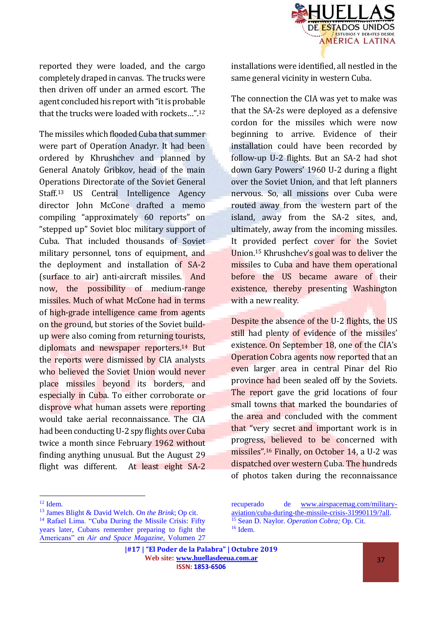

reported they were loaded, and the cargo completely draped in canvas. The trucks were then driven off under an armed escort. The agent concluded his report with "it is probable that the trucks were loaded with rockets…".<sup>12</sup>

The missiles which flooded Cuba that summer were part of Operation Anadyr. It had been ordered by Khrushchev and planned by General Anatoly Gribkov, head of the main Operations Directorate of the Soviet General Staff.<sup>13</sup> US Central Intelligence Agency director John McCone drafted a memo compiling "approximately 60 reports" on "stepped up" Soviet bloc military support of Cuba. That included thousands of Soviet military personnel, tons of equipment, and the deployment and installation of SA-2 (surface to air) anti-aircraft missiles. And now, the possibility of medium-range missiles. Much of what McCone had in terms of high-grade intelligence came from agents on the ground, but stories of the Soviet buildup were also coming from returning tourists, diplomats and newspaper reporters.<sup>14</sup> But the reports were dismissed by CIA analysts who believed the Soviet Union would never place missiles beyond its borders, and especially in Cuba. To either corroborate or disprove what human assets were reporting would take aerial reconnaissance. The CIA had been conducting U-2 spy flights over Cuba twice a month since February 1962 without finding anything unusual. But the August 29 flight was different. At least eight SA-2

 $\overline{a}$ 

installations were identified, all nestled in the same general vicinity in western Cuba.

The connection the CIA was yet to make was that the SA-2s were deployed as a defensive cordon for the missiles which were now beginning to arrive. Evidence of their installation could have been recorded by follow-up U-2 flights. But an SA-2 had shot down Gary Powers' 1960 U-2 during a flight over the Soviet Union, and that left planners nervous. So, all missions over Cuba were routed away from the western part of the island, away from the SA-2 sites, and, ultimately, away from the incoming missiles. It provided perfect cover for the Soviet Union.<sup>15</sup> Khrushchev's goal was to deliver the missiles to Cuba and have them operational before the US became aware of their existence, thereby presenting Washington with a new reality.

Despite the absence of the U-2 flights, the US still had plenty of evidence of the missiles' existence. On September 18, one of the CIA's Operation Cobra agents now reported that an even larger area in central Pinar del Rio province had been sealed off by the Soviets. The report gave the grid locations of four small towns that marked the boundaries of the area and concluded with the comment that "very secret and important work is in progress, believed to be concerned with missiles".<sup>16</sup> Finally, on October 14, a U-2 was dispatched over western Cuba. The hundreds of photos taken during the reconnaissance

<sup>12</sup> Idem.

<sup>13</sup> James Blight & David Welch. *On the Brink*; Op cit. <sup>14</sup> Rafael Lima. "Cuba During the Missile Crisis: Fifty years later, Cubans remember preparing to fight the Americans" en *Air and Space Magazine*, Volumen 27

recuperado de [www.airspacemag.com/military](http://www.airspacemag.com/military-aviation/cuba-during-the-missile-crisis-31990119/?all)[aviation/cuba-during-the-missile-crisis-31990119/?all.](http://www.airspacemag.com/military-aviation/cuba-during-the-missile-crisis-31990119/?all) <sup>15</sup> Sean D. Naylor. *Operation Cobra;* Op. Cit. <sup>16</sup> Idem.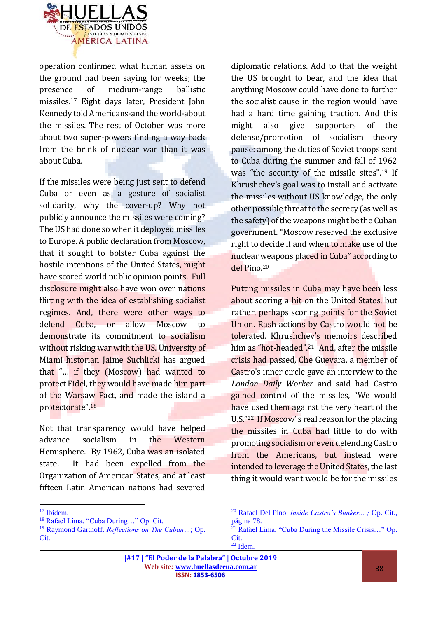

operation confirmed what human assets on the ground had been saying for weeks; the presence of medium-range ballistic missiles.<sup>17</sup> Eight days later, President John Kennedy told Americans-and the world-about the missiles. The rest of October was more about two super-powers finding a way back from the brink of nuclear war than it was about Cuba.

If the missiles were being just sent to defend Cuba or even as a gesture of socialist solidarity, why the cover-up? Why not publicly announce the missiles were coming? The US had done so when it deployed missiles to Europe. A public declaration from Moscow, that it sought to bolster Cuba against the hostile intentions of the United States, might have scored world public opinion points. Full disclosure might also have won over nations flirting with the idea of establishing socialist regimes. And, there were other ways to defend Cuba, or allow Moscow to demonstrate its commitment to socialism without risking war with the US. University of Miami historian Jaime Suchlicki has argued that "… if they (Moscow) had wanted to protect Fidel, they would have made him part of the Warsaw Pact, and made the island a protectorate".<sup>18</sup>

Not that transparency would have helped advance socialism in the Western Hemisphere. By 1962, Cuba was an isolated state. It had been expelled from the Organization of American States, and at least fifteen Latin American nations had severed

 $\overline{a}$ 

diplomatic relations. Add to that the weight the US brought to bear, and the idea that anything Moscow could have done to further the socialist cause in the region would have had a hard time gaining traction. And this might also give supporters of the defense/promotion of socialism theory pause: among the duties of Soviet troops sent to Cuba during the summer and fall of 1962 was "the security of the missile sites".<sup>19</sup> If Khrushchev's goal was to install and activate the missiles without US knowledge, the only other possible threat to the secrecy (as well as the safety) of the weapons might be the Cuban government. "Moscow reserved the exclusive right to decide if and when to make use of the nuclear weapons placed in Cuba" according to del Pino.<sup>20</sup>

Putting missiles in Cuba may have been less about scoring a hit on the United States, but rather, perhaps scoring points for the Soviet Union. Rash actions by Castro would not be tolerated. Khrushchev's memoirs described him as "hot-headed".<sup>21</sup> And, after the missile crisis had passed, Che Guevara, a member of Castro's inner circle gave an interview to the *London Daily Worker* and said had Castro gained control of the missiles, "We would have used them against the very heart of the U.S."<sup>22</sup> If Moscow' s real reason for the placing the missiles in Cuba had little to do with promoting socialism or even defending Castro from the Americans, but instead were intended to leverage the United States, the last thing it would want would be for the missiles

<sup>&</sup>lt;sup>17</sup> Ibidem.

<sup>18</sup> Rafael Lima. "Cuba During…" Op. Cit.

<sup>19</sup> Raymond Garthoff. *Reflections on The Cuban…*; Op. Cit.

<sup>20</sup> Rafael Del Pino. *Inside Castro's Bunker... ;* Op. Cit., página 78. <sup>21</sup> Rafael Lima. "Cuba During the Missile Crisis…" Op.

Cit.  $22$  Idem.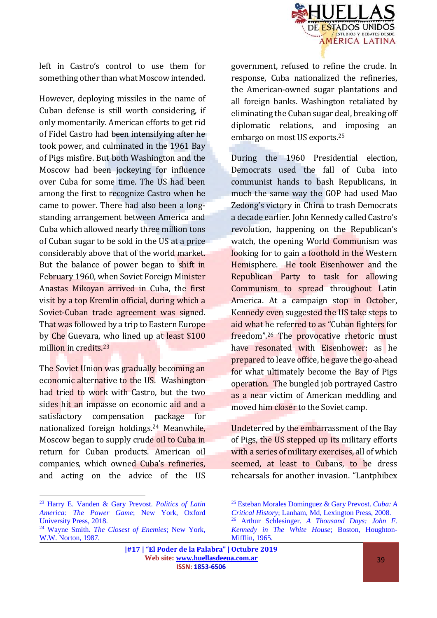

left in Castro's control to use them for something other than what Moscow intended.

However, deploying missiles in the name of Cuban defense is still worth considering, if only momentarily. American efforts to get rid of Fidel Castro had been intensifying after he took power, and culminated in the 1961 Bay of Pigs misfire. But both Washington and the Moscow had been jockeying for influence over Cuba for some time. The US had been among the first to recognize Castro when he came to power. There had also been a longstanding arrangement between America and Cuba which allowed nearly three million tons of Cuban sugar to be sold in the US at a price considerably above that of the world market. But the balance of power began to shift in February 1960, when Soviet Foreign Minister Anastas Mikoyan arrived in Cuba, the first visit by a top Kremlin official, during which a Soviet-Cuban trade agreement was signed. That was followed by a trip to Eastern Europe by Che Guevara, who lined up at least \$100 million in credits.<sup>23</sup>

The Soviet Union was gradually becoming an economic alternative to the US. Washington had tried to work with Castro, but the two sides hit an impasse on economic aid and a satisfactory compensation package for nationalized foreign holdings.<sup>24</sup> Meanwhile, Moscow began to supply crude oil to Cuba in return for Cuban products. American oil companies, which owned Cuba's refineries, and acting on the advice of the US

 $\overline{a}$ 

government, refused to refine the crude. In response, Cuba nationalized the refineries, the American-owned sugar plantations and all foreign banks. Washington retaliated by eliminating the Cuban sugar deal, breaking off diplomatic relations, and imposing an embargo on most US exports.<sup>25</sup>

During the 1960 Presidential election, Democrats used the fall of Cuba into communist hands to bash Republicans, in much the same way the GOP had used Mao Zedong's victory in China to trash Democrats a decade earlier. John Kennedy called Castro's revolution, happening on the Republican's watch, the opening World Communism was looking for to gain a foothold in the Western Hemisphere. He took Eisenhower and the Republican Party to task for allowing Communism to spread throughout Latin America. At a campaign stop in October, Kennedy even suggested the US take steps to aid what he referred to as "Cuban fighters for freedom".<sup>26</sup> The provocative rhetoric must have resonated with Eisenhower: as he prepared to leave office, he gave the go-ahead for what ultimately become the Bay of Pigs operation. The bungled job portrayed Castro as a near victim of American meddling and moved him closer to the Soviet camp.

Undeterred by the embarrassment of the Bay of Pigs, the US stepped up its military efforts with a series of military exercises, all of which seemed, at least to Cubans, to be dress rehearsals for another invasion. "Lantphibex

<sup>23</sup> Harry E. Vanden & Gary Prevost. *Politics of Latin America: The Power Game*; New York, Oxford University Press, 2018.

<sup>24</sup> Wayne Smith. *The Closest of Enemies*; New York, W.W. Norton, 1987.

<sup>25</sup> Esteban Morales Dominguez & Gary Prevost. *Cuba: A Critical History*; Lanham, Md, Lexington Press, 2008. <sup>26</sup> Arthur Schlesinger. *A Thousand Days: John F. Kennedy in The White House*; Boston, Houghton-Mifflin, 1965.

**<sup>|#17 | &</sup>quot;El Poder de la Palabra" | Octubre 2019 Web site: [www.huellasdeeua.com.ar](http://www.huellasdeeua.com.ar/) ISSN: 1853-6506**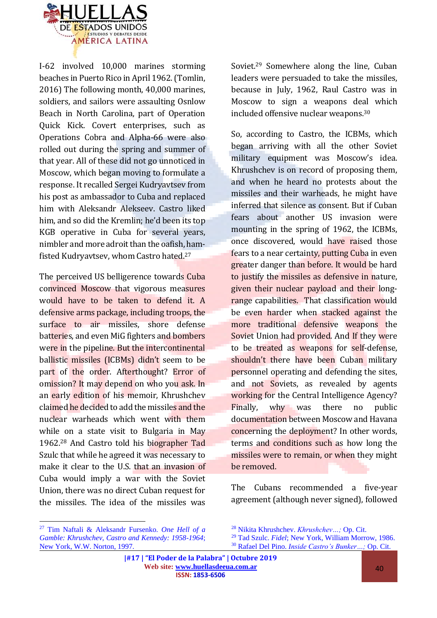

I-62 involved 10,000 marines storming beaches in Puerto Rico in April 1962. (Tomlin, 2016) The following month, 40,000 marines, soldiers, and sailors were assaulting Osnlow Beach in North Carolina, part of Operation Quick Kick. Covert enterprises, such as Operations Cobra and Alpha-66 were also rolled out during the spring and summer of that year. All of these did not go unnoticed in Moscow, which began moving to formulate a response. It recalled Sergei Kudryavtsev from his post as ambassador to Cuba and replaced him with Aleksandr Alekseev. Castro liked him, and so did the Kremlin; he'd been its top KGB operative in Cuba for several years, nimbler and more adroit than the oafish, hamfisted Kudryavtsev, whom Castro hated.<sup>27</sup>

The perceived US belligerence towards Cuba convinced Moscow that vigorous measures would have to be taken to defend it. A defensive arms package, including troops, the surface to air missiles, shore defense batteries, and even MiG fighters and bombers were in the pipeline. But the intercontinental ballistic missiles (ICBMs) didn't seem to be part of the order. Afterthought? Error of omission? It may depend on who you ask. In an early edition of his memoir, Khrushchev claimed he decided to add the missiles and the nuclear warheads which went with them while on a state visit to Bulgaria in May 1962.<sup>28</sup> And Castro told his biographer Tad Szulc that while he agreed it was necessary to make it clear to the U.S. that an invasion of Cuba would imply a war with the Soviet Union, there was no direct Cuban request for the missiles. The idea of the missiles was

Soviet.<sup>29</sup> Somewhere along the line, Cuban leaders were persuaded to take the missiles, because in July, 1962, Raul Castro was in Moscow to sign a weapons deal which included offensive nuclear weapons.<sup>30</sup>

So, according to Castro, the ICBMs, which began arriving with all the other Soviet military equipment was Moscow's idea. Khrushchev is on record of proposing them, and when he heard no protests about the missiles and their warheads, he might have inferred that silence as consent. But if Cuban fears about another US invasion were mounting in the spring of 1962, the ICBMs, once discovered, would have raised those fears to a near certainty, putting Cuba in even greater danger than before. It would be hard to justify the missiles as defensive in nature, given their nuclear payload and their longrange capabilities. That classification would be even harder when stacked against the more traditional defensive weapons the Soviet Union had provided. And If they were to be treated as weapons for self-defense, shouldn't there have been Cuban military personnel operating and defending the sites, and not Soviets, as revealed by agents working for the Central Intelligence Agency? Finally, why was there no public documentation between Moscow and Havana concerning the deployment? In other words, terms and conditions such as how long the missiles were to remain, or when they might be removed.

The Cubans recommended a five-year agreement (although never signed), followed

 $\overline{a}$ 

<sup>27</sup> Tim Naftali & Aleksandr Fursenko. *One Hell of a Gamble: Khrushchev, Castro and Kennedy: 1958-1964*; New York, W.W. Norton, 1997.

<sup>28</sup> Nikita Khrushchev. *Khrushchev…;* Op. Cit.

<sup>29</sup> Tad Szulc. *Fidel*; New York, William Morrow, 1986. <sup>30</sup> Rafael Del Pino. *Inside Castro's Bunker…;* Op. Cit.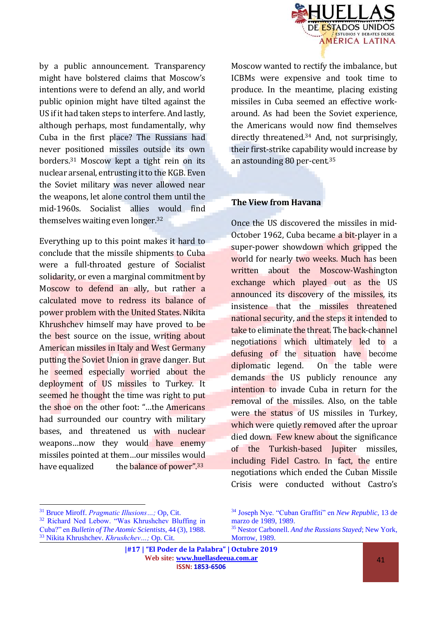

by a public announcement. Transparency might have bolstered claims that Moscow's intentions were to defend an ally, and world public opinion might have tilted against the US if it had taken steps to interfere. And lastly, although perhaps, most fundamentally, why Cuba in the first place? The Russians had never positioned missiles outside its own borders.<sup>31</sup> Moscow kept a tight rein on its nuclear arsenal, entrusting it to the KGB. Even the Soviet military was never allowed near the weapons, let alone control them until the mid-1960s. Socialist allies would find themselves waiting even longer.<sup>32</sup>

Everything up to this point makes it hard to conclude that the missile shipments to Cuba were a full-throated gesture of Socialist solidarity, or even a marginal commitment by Moscow to defend an ally, but rather a calculated move to redress its balance of power problem with the United States. Nikita Khrushchev himself may have proved to be the best source on the issue, writing about American missiles in Italy and West Germany putting the Soviet Union in grave danger. But he seemed especially worried about the deployment of US missiles to Turkey. It seemed he thought the time was right to put the shoe on the other foot: "…the Americans had surrounded our country with military bases, and threatened us with nuclear weapons…now they would have enemy missiles pointed at them…our missiles would have equalized the balance of power".<sup>33</sup>

Moscow wanted to rectify the imbalance, but ICBMs were expensive and took time to produce. In the meantime, placing existing missiles in Cuba seemed an effective workaround. As had been the Soviet experience, the Americans would now find themselves directly threatened.<sup>34</sup> And, not surprisingly, their first-strike capability would increase by an astounding 80 per-cent. 35

#### **The View from Havana**

Once the US discovered the missiles in mid-October 1962, Cuba became a bit-player in a super-power showdown which gripped the world for nearly two weeks. Much has been written about the Moscow-Washington exchange which played out as the US announced its discovery of the missiles, its insistence that the missiles threatened national security, and the steps it intended to take to eliminate the threat. The back-channel negotiations which ultimately led to a defusing of the situation have become diplomatic legend. On the table were demands the US publicly renounce any intention to invade Cuba in return for the removal of the missiles. Also, on the table were the status of US missiles in Turkey, which were quietly removed after the uproar died down. Few knew about the significance of the Turkish-based Jupiter missiles, including Fidel Castro. In fact, the entire negotiations which ended the Cuban Missile Crisis were conducted without Castro's

 $\overline{a}$ 

<sup>31</sup> Bruce Miroff. *Pragmatic Illusions…;* Op, Cit.

<sup>32</sup> Richard Ned Lebow. "Was Khrushchev Bluffing in Cuba?" en *Bulletin of The Atomic Scientists*, 44 (3), 1988. <sup>33</sup> Nikita Khrushchev. *Khrushchev…;* Op. Cit.

<sup>34</sup> Joseph Nye. "Cuban Graffiti" en *New Republic*, 13 de marzo de 1989, 1989.

<sup>35</sup> Nestor Carbonell. *And the Russians Stayed*; New York, Morrow, 1989.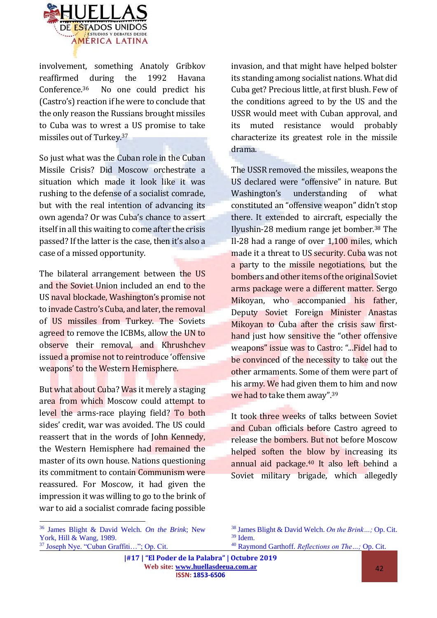

involvement, something Anatoly Gribkov reaffirmed during the 1992 Havana Conference.36 No one could predict his (Castro's) reaction if he were to conclude that the only reason the Russians brought missiles to Cuba was to wrest a US promise to take missiles out of Turkey.<sup>37</sup>

So just what was the Cuban role in the Cuban Missile Crisis? Did Moscow orchestrate a situation which made it look like it was rushing to the defense of a socialist comrade, but with the real intention of advancing its own agenda? Or was Cuba's chance to assert itself in all this waiting to come after the crisis passed? If the latter is the case, then it's also a case of a missed opportunity.

The bilateral arrangement between the US and the Soviet Union included an end to the US naval blockade, Washington's promise not to invade Castro's Cuba, and later, the removal of US missiles from Turkey. The Soviets agreed to remove the ICBMs, allow the UN to observe their removal, and Khrushchev issued a promise not to reintroduce 'offensive weapons' to the Western Hemisphere.

But what about Cuba? Was it merely a staging area from which Moscow could attempt to level the arms-race playing field? To both sides' credit, war was avoided. The US could reassert that in the words of John Kennedy, the Western Hemisphere had remained the master of its own house. Nations questioning its commitment to contain Communism were reassured. For Moscow, it had given the impression it was willing to go to the brink of war to aid a socialist comrade facing possible

invasion, and that might have helped bolster its standing among socialist nations. What did Cuba get? Precious little, at first blush. Few of the conditions agreed to by the US and the USSR would meet with Cuban approval, and its muted resistance would probably characterize its greatest role in the missile drama.

The USSR removed the missiles, weapons the US declared were "offensive" in nature. But Washington's understanding of what constituted an "offensive weapon" didn't stop there. It extended to aircraft, especially the Ilyushin-28 medium range jet bomber.<sup>38</sup> The Il-28 had a range of over 1,100 miles, which made it a threat to US security. Cuba was not a party to the missile negotiations, but the bombers and other items of the original Soviet arms package were a different matter. Sergo Mikoyan, who accompanied his father, Deputy Soviet Foreign Minister Anastas Mikoyan to Cuba after the crisis saw firsthand just how sensitive the "other offensive weapons" issue was to Castro: "...Fidel had to be convinced of the necessity to take out the other armaments. Some of them were part of his army. We had given them to him and now we had to take them away".<sup>39</sup>

It took three weeks of talks between Soviet and Cuban officials before Castro agreed to release the bombers. But not before Moscow helped soften the blow by increasing its annual aid package.<sup>40</sup> It also left behind a Soviet military brigade, which allegedly

 $\overline{a}$ 

<sup>40</sup> Raymond Garthoff. *Reflections on The…;* Op. Cit.

<sup>36</sup> James Blight & David Welch. *On the Brink*; New York, Hill & Wang, 1989. <sup>37</sup> Joseph Nye. "Cuban Graffiti…"; Op. Cit.

<sup>38</sup> James Blight & David Welch. *On the Brink…;* Op. Cit. <sup>39</sup> Idem.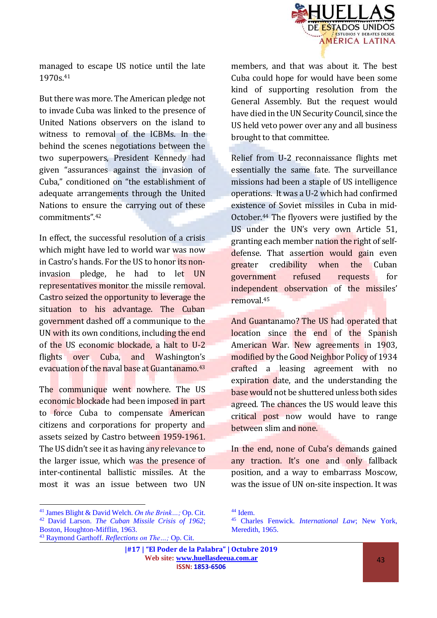

managed to escape US notice until the late 1970s.<sup>41</sup>

But there was more. The American pledge not to invade Cuba was linked to the presence of United Nations observers on the island to witness to removal of the ICBMs. In the behind the scenes negotiations between the two superpowers, President Kennedy had given "assurances against the invasion of Cuba," conditioned on "the establishment of adequate arrangements through the United Nations to ensure the carrying out of these commitments".<sup>42</sup>

In effect, the successful resolution of a crisis which might have led to world war was now in Castro's hands. For the US to honor its noninvasion pledge, he had to let UN representatives monitor the missile removal. Castro seized the opportunity to leverage the situation to his advantage. The Cuban government dashed off a communique to the UN with its own conditions, including the end of the US economic blockade, a halt to U-2 flights over Cuba, and Washington's evacuation of the naval base at Guantanamo.<sup>43</sup>

The communique went nowhere. The US economic blockade had been imposed in part to force Cuba to compensate American citizens and corporations for property and assets seized by Castro between 1959-1961. The US didn't see it as having any relevance to the larger issue, which was the presence of inter-continental ballistic missiles. At the most it was an issue between two UN

<sup>41</sup> James Blight & David Welch. *On the Brink…;* Op. Cit. <sup>42</sup> David Larson. *The Cuban Missile Crisis of 1962*; Boston, Houghton-Mifflin, 1963.

 $\overline{a}$ 

members, and that was about it. The best Cuba could hope for would have been some kind of supporting resolution from the General Assembly. But the request would have died in the UN Security Council, since the US held veto power over any and all business brought to that committee.

Relief from U-2 reconnaissance flights met essentially the same fate. The surveillance missions had been a staple of US intelligence operations. It was a U-2 which had confirmed existence of Soviet missiles in Cuba in mid-October.<sup>44</sup> The flyovers were justified by the US under the UN's very own Article 51, granting each member nation the right of selfdefense. That assertion would gain even greater credibility when the Cuban government refused requests for independent observation of the missiles' removal.<sup>45</sup>

And Guantanamo? The US had operated that location since the end of the Spanish American War. New agreements in 1903, modified by the Good Neighbor Policy of 1934 crafted a leasing agreement with no expiration date, and the understanding the base would not be shuttered unless both sides agreed. The chances the US would leave this critical post now would have to range between slim and none.

In the end, none of Cuba's demands gained any traction. It's one and only fallback position, and a way to embarrass Moscow, was the issue of UN on-site inspection. It was

<sup>43</sup> Raymond Garthoff. *Reflections on The…;* Op. Cit.

<sup>44</sup> Idem.

<sup>45</sup> Charles Fenwick. *International Law*; New York, Meredith, 1965.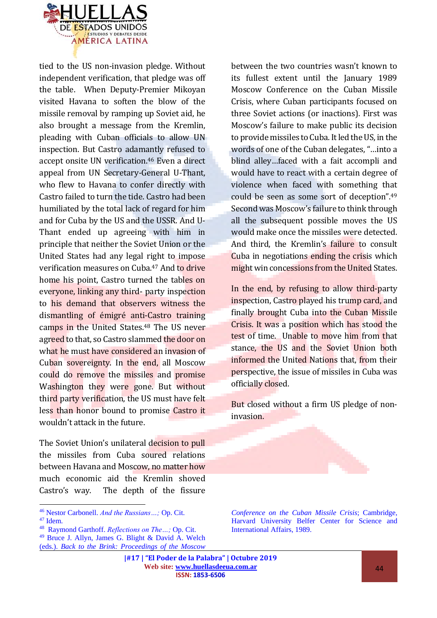

tied to the US non-invasion pledge. Without independent verification, that pledge was off the table. When Deputy-Premier Mikoyan visited Havana to soften the blow of the missile removal by ramping up Soviet aid, he also brought a message from the Kremlin, pleading with Cuban officials to allow UN inspection. But Castro adamantly refused to accept onsite UN verification.<sup>46</sup> Even a direct appeal from UN Secretary-General U-Thant, who flew to Havana to confer directly with Castro failed to turn the tide. Castro had been humiliated by the total lack of regard for him and for Cuba by the US and the USSR. And U-Thant ended up agreeing with him in principle that neither the Soviet Union or the United States had any legal right to impose verification measures on Cuba.<sup>47</sup> And to drive home his point, Castro turned the tables on everyone, linking any third- party inspection to his demand that observers witness the dismantling of émigré anti-Castro training camps in the United States.<sup>48</sup> The US never agreed to that, so Castro slammed the door on what he must have considered an invasion of Cuban sovereignty. In the end, all Moscow could do remove the missiles and promise Washington they were gone. But without third party verification, the US must have felt less than honor bound to promise Castro it wouldn't attack in the future.

The Soviet Union's unilateral decision to pull the missiles from Cuba soured relations between Havana and Moscow, no matter how much economic aid the Kremlin shoved Castro's way. The depth of the fissure

 $\overline{a}$ 

between the two countries wasn't known to its fullest extent until the January 1989 Moscow Conference on the Cuban Missile Crisis, where Cuban participants focused on three Soviet actions (or inactions). First was Moscow's failure to make public its decision to provide missiles to Cuba. It led the US, in the words of one of the Cuban delegates, "…into a blind alley…faced with a fait accompli and would have to react with a certain degree of violence when faced with something that could be seen as some sort of deception".<sup>49</sup> Second was Moscow's failure to think through all the subsequent possible moves the US would make once the missiles were detected. And third, the Kremlin's failure to consult Cuba in negotiations ending the crisis which might win concessions from the United States.

In the end, by refusing to allow third-party inspection, Castro played his trump card, and finally brought Cuba into the Cuban Missile Crisis. It was a position which has stood the test of time. Unable to move him from that stance, the US and the Soviet Union both informed the United Nations that, from their perspective, the issue of missiles in Cuba was officially closed.

But closed without a firm US pledge of noninvasion.

*Conference on the Cuban Missile Crisis*; Cambridge, Harvard University Belfer Center for Science and International Affairs, 1989.

<sup>46</sup> Nestor Carbonell. *And the Russians…;* Op. Cit.

 $47$  Idem.

<sup>48</sup> Raymond Garthoff. *Reflections on The…;* Op. Cit. <sup>49</sup> Bruce J. Allyn, James G. Blight & David A. Welch (eds.). *Back to the Brink: Proceedings of the Moscow*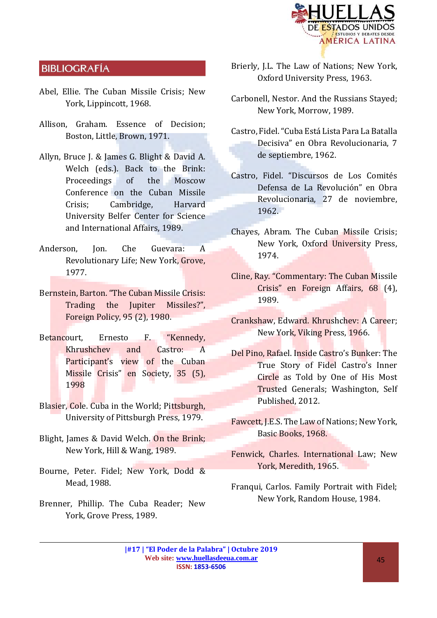

### **BIBLIOGRAFÍA**

- Abel, Ellie. The Cuban Missile Crisis; New York, Lippincott, 1968.
- Allison, Graham. Essence of Decision; Boston, Little, Brown, 1971.
- Allyn, Bruce J. & James G. Blight & David A. Welch (eds.). Back to the Brink: Proceedings of the Moscow Conference on the Cuban Missile Crisis; Cambridge, Harvard University Belfer Center for Science and International Affairs, 1989.
- Anderson, Jon. Che Guevara: A Revolutionary Life; New York, Grove, 1977.
- Bernstein, Barton. "The Cuban Missile Crisis: Trading the Jupiter Missiles?", Foreign Policy, 95 (2), 1980.
- Betancourt, Ernesto F. "Kennedy, Khrushchev and Castro: A Participant's view of the Cuban Missile Crisis" en Society, 35 (5), 1998
- Blasier, Cole. Cuba in the World; Pittsburgh, University of Pittsburgh Press, 1979.
- Blight, James & David Welch. On the Brink; New York, Hill & Wang, 1989.
- Bourne, Peter. Fidel; New York, Dodd & Mead, 1988.
- Brenner, Phillip. The Cuba Reader; New York, Grove Press, 1989.
- Brierly, J.L. The Law of Nations; New York, Oxford University Press, 1963.
- Carbonell, Nestor. And the Russians Stayed; New York, Morrow, 1989.
- Castro, Fidel. "Cuba Está Lista Para La Batalla Decisiva" en Obra Revolucionaria, 7 de septiembre, 1962.
- Castro, Fidel. "Discursos de Los Comités Defensa de La Revolución" en Obra Revolucionaria, 27 de noviembre, 1962.
- Chayes, Abram. The Cuban Missile Crisis; New York, Oxford University Press, 1974.
- Cline, Ray. "Commentary: The Cuban Missile Crisis" en Foreign Affairs, 68 (4), 1989.
- Crankshaw, Edward. Khrushchev: A Career; New York, Viking Press, 1966.
- Del Pino, Rafael. Inside Castro's Bunker: The True Story of Fidel Castro's Inner Circle as Told by One of His Most Trusted Generals; Washington, Self Published, 2012.
- Fawcett, J.E.S. The Law of Nations; New York, Basic Books, 1968.
- Fenwick, Charles. International Law; New York, Meredith, 1965.
- Franqui, Carlos. Family Portrait with Fidel; New York, Random House, 1984.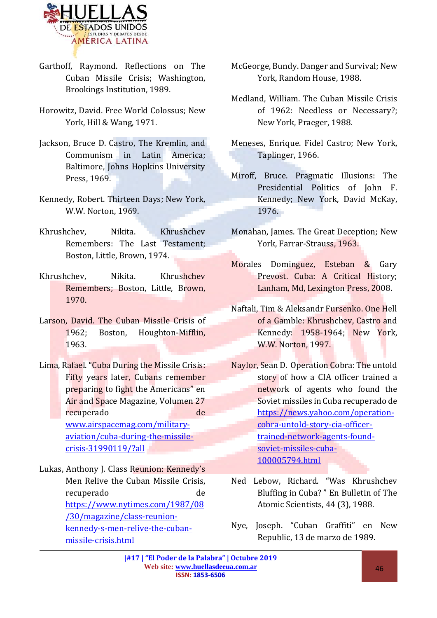

- Garthoff, Raymond. Reflections on The Cuban Missile Crisis; Washington, Brookings Institution, 1989.
- Horowitz, David. Free World Colossus; New York, Hill & Wang, 1971.
- Jackson, Bruce D. Castro, The Kremlin, and Communism in Latin America; Baltimore, Johns Hopkins University Press, 1969.
- Kennedy, Robert. Thirteen Days; New York, W.W. Norton, 1969.
- Khrushchev, Nikita. Khrushchev Remembers: The Last Testament; Boston, Little, Brown, 1974.
- Khrushchev, Nikita. Khrushchev Remembers; Boston, Little, Brown, 1970.
- Larson, David. The Cuban Missile Crisis of 1962; Boston, Houghton-Mifflin, 1963.
- Lima, Rafael. "Cuba During the Missile Crisis: Fifty years later, Cubans remember preparing to fight the Americans" en Air and Space Magazine, Volumen 27 recuperado de de [www.airspacemag.com/military](http://www.airspacemag.com/military-aviation/cuba-during-the-missile-crisis-31990119/?all)[aviation/cuba-during-the-missile](http://www.airspacemag.com/military-aviation/cuba-during-the-missile-crisis-31990119/?all)[crisis-31990119/?all](http://www.airspacemag.com/military-aviation/cuba-during-the-missile-crisis-31990119/?all)

Lukas, Anthony J. Class Reunion: Kennedy's Men Relive the Cuban Missile Crisis, recuperado de [https://www.nytimes.com/1987/08](https://www.nytimes.com/1987/08/30/magazine/class-reunion-kennedy-s-men-relive-the-cuban-missile-crisis.html) [/30/magazine/class-reunion](https://www.nytimes.com/1987/08/30/magazine/class-reunion-kennedy-s-men-relive-the-cuban-missile-crisis.html)[kennedy-s-men-relive-the-cuban](https://www.nytimes.com/1987/08/30/magazine/class-reunion-kennedy-s-men-relive-the-cuban-missile-crisis.html)[missile-crisis.html](https://www.nytimes.com/1987/08/30/magazine/class-reunion-kennedy-s-men-relive-the-cuban-missile-crisis.html)

- McGeorge, Bundy. Danger and Survival; New York, Random House, 1988.
- Medland, William. The Cuban Missile Crisis of 1962: Needless or Necessary?; New York, Praeger, 1988.
- Meneses, Enrique. Fidel Castro; New York, Taplinger, 1966.
- Miroff, Bruce. Pragmatic Illusions: The Presidential Politics of John F. Kennedy; New York, David McKay, 1976.
- Monahan, James. The Great Deception; New York, Farrar-Strauss, 1963.
- Morales Dominguez, Esteban & Gary Prevost. Cuba: A Critical History; Lanham, Md, Lexington Press, 2008.
- Naftali, Tim & Aleksandr Fursenko. One Hell of a Gamble: Khrushchev, Castro and Kennedy: 1958-1964; New York, W.W. Norton, 1997.
- Naylor, Sean D. Operation Cobra: The untold story of how a CIA officer trained a network of agents who found the Soviet missiles in Cuba recuperado de [https://news.yahoo.com/operation](https://news.yahoo.com/operation-cobra-untold-story-cia-officer-trained-network-agents-found-soviet-missiles-cuba-100005794.html)[cobra-untold-story-cia-officer](https://news.yahoo.com/operation-cobra-untold-story-cia-officer-trained-network-agents-found-soviet-missiles-cuba-100005794.html)[trained-network-agents-found](https://news.yahoo.com/operation-cobra-untold-story-cia-officer-trained-network-agents-found-soviet-missiles-cuba-100005794.html)[soviet-missiles-cuba-](https://news.yahoo.com/operation-cobra-untold-story-cia-officer-trained-network-agents-found-soviet-missiles-cuba-100005794.html)[100005794.html](https://news.yahoo.com/operation-cobra-untold-story-cia-officer-trained-network-agents-found-soviet-missiles-cuba-100005794.html)
- Ned Lebow, Richard. "Was Khrushchev Bluffing in Cuba? " En Bulletin of The Atomic Scientists, 44 (3), 1988.
- Nye, Joseph. "Cuban Graffiti" en New Republic, 13 de marzo de 1989.